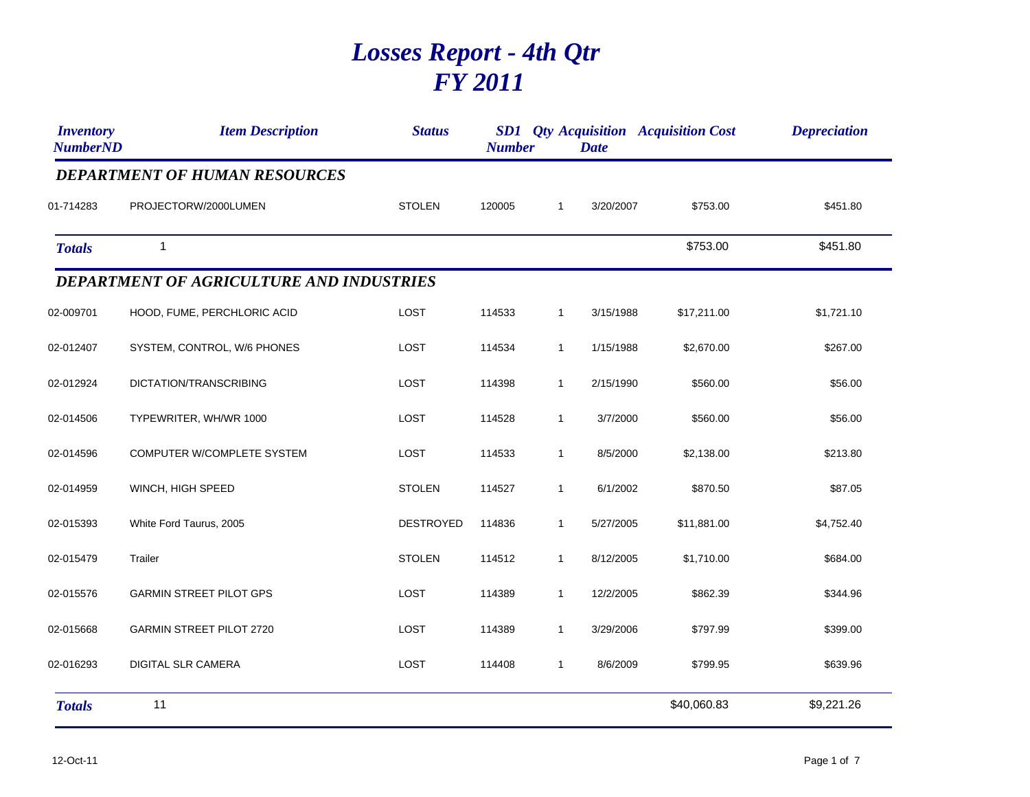## *Losses Report - 4th Qtr FY 2011*

| <b>Inventory</b><br><b>NumberND</b> | <b>Item Description</b>                  | <b>Status</b>    | <b>Number</b> |              | <b>Date</b> | <b>SD1</b> Qty Acquisition Acquisition Cost | <b>Depreciation</b> |
|-------------------------------------|------------------------------------------|------------------|---------------|--------------|-------------|---------------------------------------------|---------------------|
|                                     | <b>DEPARTMENT OF HUMAN RESOURCES</b>     |                  |               |              |             |                                             |                     |
| 01-714283                           | PROJECTORW/2000LUMEN                     | <b>STOLEN</b>    | 120005        | $\mathbf{1}$ | 3/20/2007   | \$753.00                                    | \$451.80            |
| <b>Totals</b>                       | $\mathbf{1}$                             |                  |               |              |             | \$753.00                                    | \$451.80            |
|                                     | DEPARTMENT OF AGRICULTURE AND INDUSTRIES |                  |               |              |             |                                             |                     |
| 02-009701                           | HOOD, FUME, PERCHLORIC ACID              | LOST             | 114533        | $\mathbf{1}$ | 3/15/1988   | \$17,211.00                                 | \$1,721.10          |
| 02-012407                           | SYSTEM, CONTROL, W/6 PHONES              | LOST             | 114534        | $\mathbf{1}$ | 1/15/1988   | \$2,670.00                                  | \$267.00            |
| 02-012924                           | DICTATION/TRANSCRIBING                   | <b>LOST</b>      | 114398        | $\mathbf{1}$ | 2/15/1990   | \$560.00                                    | \$56.00             |
| 02-014506                           | TYPEWRITER, WH/WR 1000                   | <b>LOST</b>      | 114528        | $\mathbf{1}$ | 3/7/2000    | \$560.00                                    | \$56.00             |
| 02-014596                           | COMPUTER W/COMPLETE SYSTEM               | <b>LOST</b>      | 114533        | $\mathbf{1}$ | 8/5/2000    | \$2,138.00                                  | \$213.80            |
| 02-014959                           | WINCH, HIGH SPEED                        | <b>STOLEN</b>    | 114527        | $\mathbf{1}$ | 6/1/2002    | \$870.50                                    | \$87.05             |
| 02-015393                           | White Ford Taurus, 2005                  | <b>DESTROYED</b> | 114836        | $\mathbf{1}$ | 5/27/2005   | \$11,881.00                                 | \$4,752.40          |
| 02-015479                           | Trailer                                  | <b>STOLEN</b>    | 114512        | $\mathbf{1}$ | 8/12/2005   | \$1,710.00                                  | \$684.00            |
| 02-015576                           | <b>GARMIN STREET PILOT GPS</b>           | LOST             | 114389        | $\mathbf{1}$ | 12/2/2005   | \$862.39                                    | \$344.96            |
| 02-015668                           | <b>GARMIN STREET PILOT 2720</b>          | <b>LOST</b>      | 114389        | $\mathbf{1}$ | 3/29/2006   | \$797.99                                    | \$399.00            |
| 02-016293                           | <b>DIGITAL SLR CAMERA</b>                | <b>LOST</b>      | 114408        | $\mathbf{1}$ | 8/6/2009    | \$799.95                                    | \$639.96            |
| <b>Totals</b>                       | 11                                       |                  |               |              |             | \$40,060.83                                 | \$9,221.26          |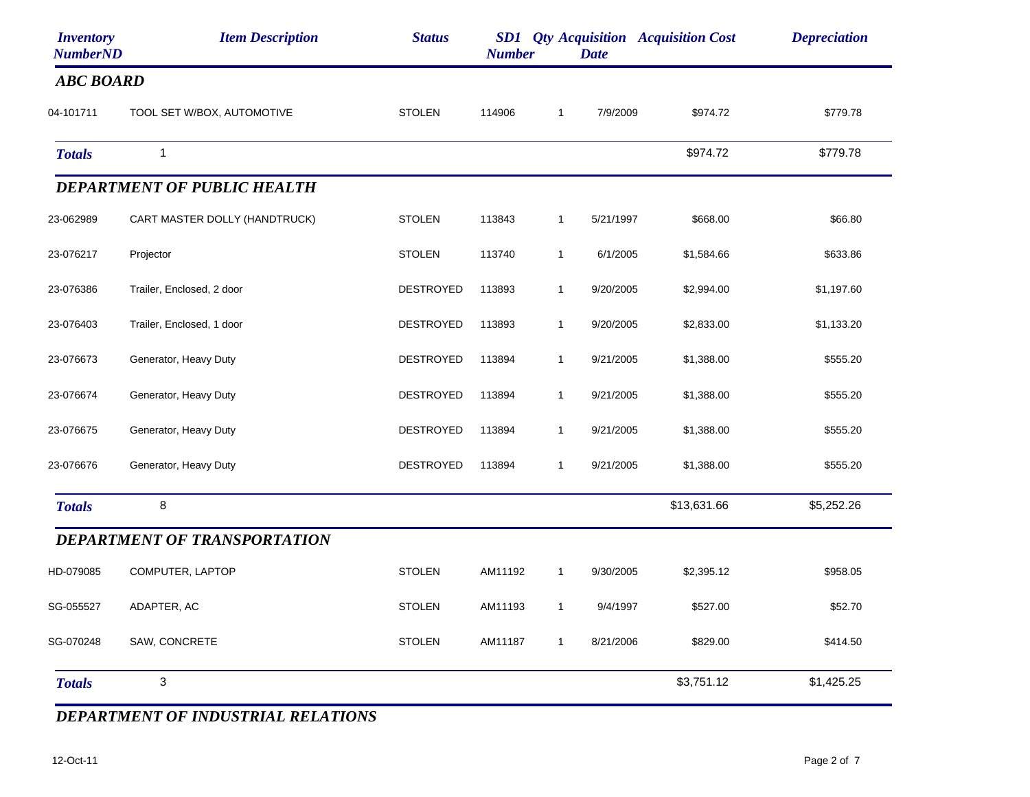| <b>Inventory</b><br><b>NumberND</b> | <b>Item Description</b>             | <b>Status</b>    | <b>Number</b> |              | <b>Date</b> | <b>SD1</b> Qty Acquisition Acquisition Cost | <b>Depreciation</b> |
|-------------------------------------|-------------------------------------|------------------|---------------|--------------|-------------|---------------------------------------------|---------------------|
| <b>ABC BOARD</b>                    |                                     |                  |               |              |             |                                             |                     |
| 04-101711                           | TOOL SET W/BOX, AUTOMOTIVE          | <b>STOLEN</b>    | 114906        | $\mathbf{1}$ | 7/9/2009    | \$974.72                                    | \$779.78            |
| <b>Totals</b>                       | $\mathbf{1}$                        |                  |               |              |             | \$974.72                                    | \$779.78            |
|                                     | <b>DEPARTMENT OF PUBLIC HEALTH</b>  |                  |               |              |             |                                             |                     |
| 23-062989                           | CART MASTER DOLLY (HANDTRUCK)       | <b>STOLEN</b>    | 113843        | $\mathbf{1}$ | 5/21/1997   | \$668.00                                    | \$66.80             |
| 23-076217                           | Projector                           | <b>STOLEN</b>    | 113740        | $\mathbf{1}$ | 6/1/2005    | \$1,584.66                                  | \$633.86            |
| 23-076386                           | Trailer, Enclosed, 2 door           | <b>DESTROYED</b> | 113893        | $\mathbf{1}$ | 9/20/2005   | \$2,994.00                                  | \$1,197.60          |
| 23-076403                           | Trailer, Enclosed, 1 door           | <b>DESTROYED</b> | 113893        | $\mathbf{1}$ | 9/20/2005   | \$2,833.00                                  | \$1,133.20          |
| 23-076673                           | Generator, Heavy Duty               | <b>DESTROYED</b> | 113894        | $\mathbf{1}$ | 9/21/2005   | \$1,388.00                                  | \$555.20            |
| 23-076674                           | Generator, Heavy Duty               | DESTROYED        | 113894        | 1            | 9/21/2005   | \$1,388.00                                  | \$555.20            |
| 23-076675                           | Generator, Heavy Duty               | <b>DESTROYED</b> | 113894        | $\mathbf{1}$ | 9/21/2005   | \$1,388.00                                  | \$555.20            |
| 23-076676                           | Generator, Heavy Duty               | <b>DESTROYED</b> | 113894        | $\mathbf{1}$ | 9/21/2005   | \$1,388.00                                  | \$555.20            |
| <b>Totals</b>                       | 8                                   |                  |               |              |             | \$13,631.66                                 | \$5,252.26          |
|                                     | <b>DEPARTMENT OF TRANSPORTATION</b> |                  |               |              |             |                                             |                     |
| HD-079085                           | COMPUTER, LAPTOP                    | <b>STOLEN</b>    | AM11192       | $\mathbf{1}$ | 9/30/2005   | \$2,395.12                                  | \$958.05            |
| SG-055527                           | ADAPTER, AC                         | <b>STOLEN</b>    | AM11193       | $\mathbf{1}$ | 9/4/1997    | \$527.00                                    | \$52.70             |
| SG-070248                           | SAW, CONCRETE                       | <b>STOLEN</b>    | AM11187       | $\mathbf{1}$ | 8/21/2006   | \$829.00                                    | \$414.50            |
| <b>Totals</b>                       | $\mathbf{3}$                        |                  |               |              |             | \$3,751.12                                  | \$1,425.25          |

*DEPARTMENT OF INDUSTRIAL RELATIONS*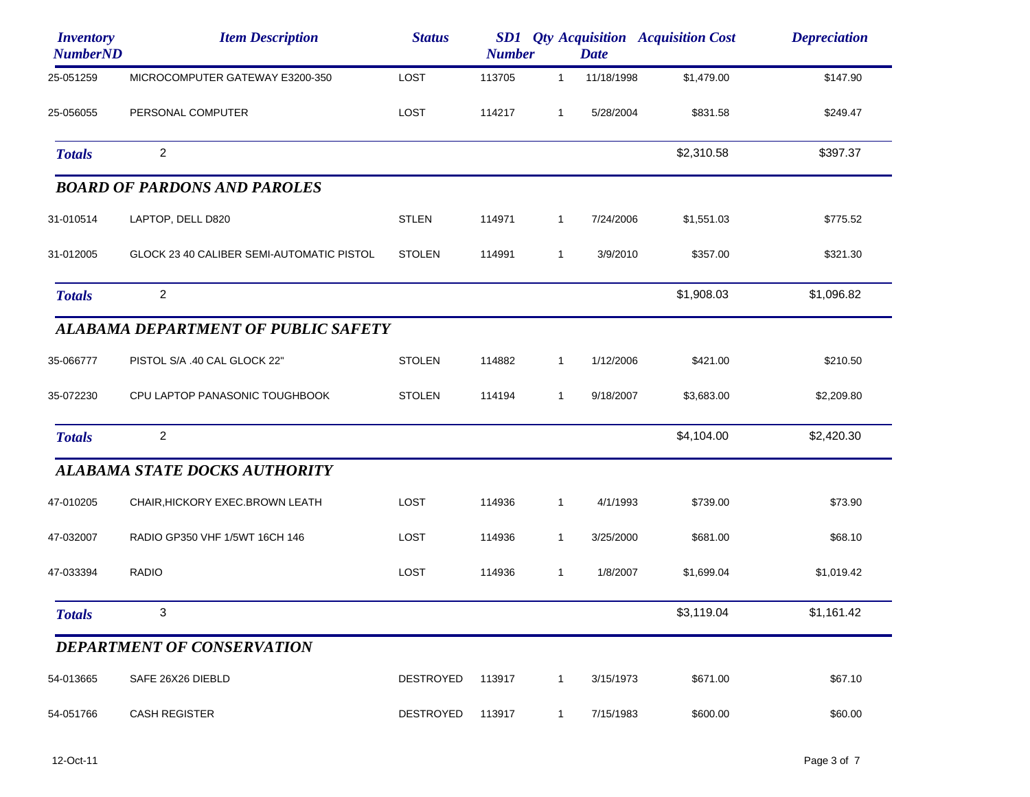| <b>Inventory</b><br><b>NumberND</b> | <b>Item Description</b>                    | <b>Status</b>    | <b>Number</b> |              | <b>Date</b> | <b>SD1</b> Qty Acquisition Acquisition Cost | <b>Depreciation</b> |
|-------------------------------------|--------------------------------------------|------------------|---------------|--------------|-------------|---------------------------------------------|---------------------|
| 25-051259                           | MICROCOMPUTER GATEWAY E3200-350            | LOST             | 113705        | $\mathbf{1}$ | 11/18/1998  | \$1,479.00                                  | \$147.90            |
| 25-056055                           | PERSONAL COMPUTER                          | LOST             | 114217        | $\mathbf{1}$ | 5/28/2004   | \$831.58                                    | \$249.47            |
| <b>Totals</b>                       | $\overline{c}$                             |                  |               |              |             | \$2,310.58                                  | \$397.37            |
|                                     | <b>BOARD OF PARDONS AND PAROLES</b>        |                  |               |              |             |                                             |                     |
| 31-010514                           | LAPTOP, DELL D820                          | <b>STLEN</b>     | 114971        | $\mathbf{1}$ | 7/24/2006   | \$1,551.03                                  | \$775.52            |
| 31-012005                           | GLOCK 23 40 CALIBER SEMI-AUTOMATIC PISTOL  | <b>STOLEN</b>    | 114991        | $\mathbf{1}$ | 3/9/2010    | \$357.00                                    | \$321.30            |
| <b>Totals</b>                       | 2                                          |                  |               |              |             | \$1,908.03                                  | \$1,096.82          |
|                                     | <b>ALABAMA DEPARTMENT OF PUBLIC SAFETY</b> |                  |               |              |             |                                             |                     |
| 35-066777                           | PISTOL S/A .40 CAL GLOCK 22"               | <b>STOLEN</b>    | 114882        | $\mathbf{1}$ | 1/12/2006   | \$421.00                                    | \$210.50            |
| 35-072230                           | CPU LAPTOP PANASONIC TOUGHBOOK             | <b>STOLEN</b>    | 114194        | $\mathbf{1}$ | 9/18/2007   | \$3,683.00                                  | \$2,209.80          |
| <b>Totals</b>                       | $\overline{c}$                             |                  |               |              |             | \$4,104.00                                  | \$2,420.30          |
|                                     | <b>ALABAMA STATE DOCKS AUTHORITY</b>       |                  |               |              |             |                                             |                     |
| 47-010205                           | CHAIR, HICKORY EXEC. BROWN LEATH           | LOST             | 114936        | $\mathbf{1}$ | 4/1/1993    | \$739.00                                    | \$73.90             |
| 47-032007                           | RADIO GP350 VHF 1/5WT 16CH 146             | LOST             | 114936        | $\mathbf{1}$ | 3/25/2000   | \$681.00                                    | \$68.10             |
| 47-033394                           | <b>RADIO</b>                               | LOST             | 114936        | $\mathbf{1}$ | 1/8/2007    | \$1,699.04                                  | \$1,019.42          |
| <b>Totals</b>                       | 3                                          |                  |               |              |             | \$3,119.04                                  | \$1,161.42          |
|                                     | <b>DEPARTMENT OF CONSERVATION</b>          |                  |               |              |             |                                             |                     |
| 54-013665                           | SAFE 26X26 DIEBLD                          | <b>DESTROYED</b> | 113917        | $\mathbf{1}$ | 3/15/1973   | \$671.00                                    | \$67.10             |
| 54-051766                           | <b>CASH REGISTER</b>                       | DESTROYED        | 113917        | $\mathbf{1}$ | 7/15/1983   | \$600.00                                    | \$60.00             |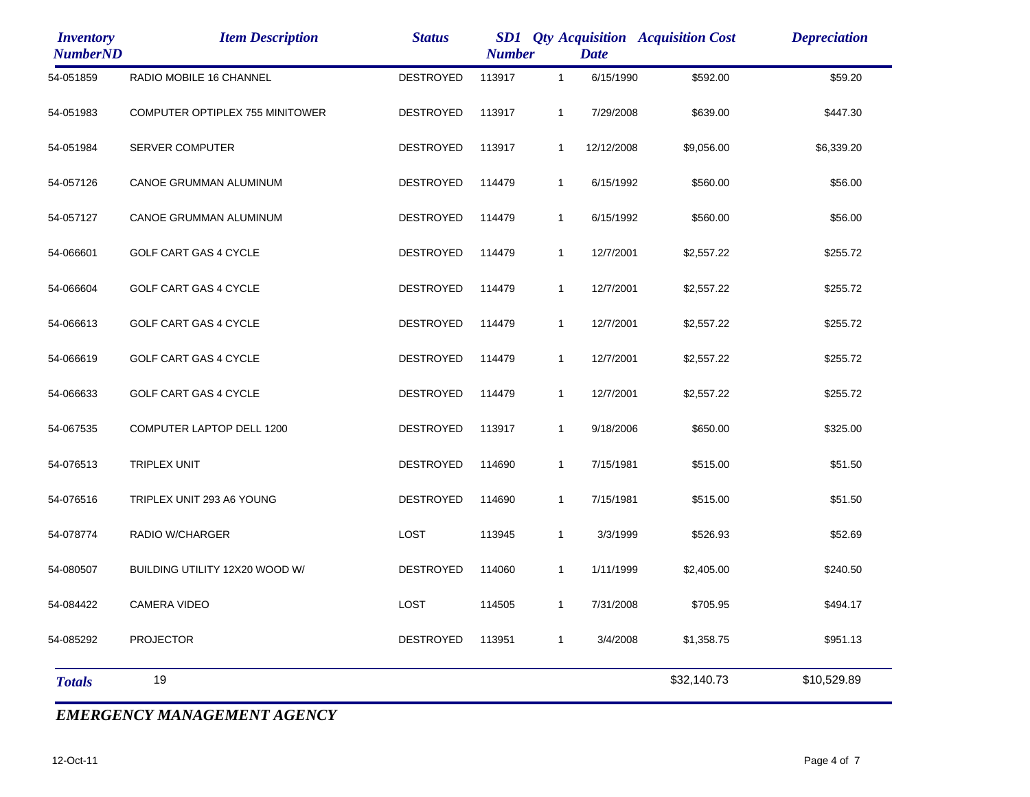| <b>Item Description</b>         | <b>Status</b>    |        |              | <b>Date</b>   |             | <b>Depreciation</b>                         |
|---------------------------------|------------------|--------|--------------|---------------|-------------|---------------------------------------------|
| RADIO MOBILE 16 CHANNEL         | <b>DESTROYED</b> | 113917 | $\mathbf{1}$ | 6/15/1990     | \$592.00    | \$59.20                                     |
| COMPUTER OPTIPLEX 755 MINITOWER | <b>DESTROYED</b> | 113917 | $\mathbf{1}$ | 7/29/2008     | \$639.00    | \$447.30                                    |
| SERVER COMPUTER                 | <b>DESTROYED</b> | 113917 | $\mathbf{1}$ | 12/12/2008    | \$9,056.00  | \$6,339.20                                  |
| CANOE GRUMMAN ALUMINUM          | <b>DESTROYED</b> | 114479 | $\mathbf{1}$ | 6/15/1992     | \$560.00    | \$56.00                                     |
| CANOE GRUMMAN ALUMINUM          | <b>DESTROYED</b> | 114479 | $\mathbf{1}$ | 6/15/1992     | \$560.00    | \$56.00                                     |
| GOLF CART GAS 4 CYCLE           | <b>DESTROYED</b> | 114479 | $\mathbf{1}$ | 12/7/2001     | \$2,557.22  | \$255.72                                    |
| GOLF CART GAS 4 CYCLE           | <b>DESTROYED</b> | 114479 | $\mathbf{1}$ | 12/7/2001     | \$2,557.22  | \$255.72                                    |
| GOLF CART GAS 4 CYCLE           | <b>DESTROYED</b> | 114479 | $\mathbf{1}$ | 12/7/2001     | \$2,557.22  | \$255.72                                    |
| <b>GOLF CART GAS 4 CYCLE</b>    | <b>DESTROYED</b> | 114479 | $\mathbf{1}$ | 12/7/2001     | \$2,557.22  | \$255.72                                    |
| GOLF CART GAS 4 CYCLE           | <b>DESTROYED</b> | 114479 | $\mathbf{1}$ | 12/7/2001     | \$2,557.22  | \$255.72                                    |
| COMPUTER LAPTOP DELL 1200       | <b>DESTROYED</b> | 113917 | $\mathbf{1}$ | 9/18/2006     | \$650.00    | \$325.00                                    |
| TRIPLEX UNIT                    | <b>DESTROYED</b> | 114690 | $\mathbf{1}$ | 7/15/1981     | \$515.00    | \$51.50                                     |
| TRIPLEX UNIT 293 A6 YOUNG       | <b>DESTROYED</b> | 114690 | $\mathbf{1}$ | 7/15/1981     | \$515.00    | \$51.50                                     |
| <b>RADIO W/CHARGER</b>          | <b>LOST</b>      | 113945 | $\mathbf{1}$ | 3/3/1999      | \$526.93    | \$52.69                                     |
| BUILDING UTILITY 12X20 WOOD W/  | <b>DESTROYED</b> | 114060 | $\mathbf{1}$ | 1/11/1999     | \$2,405.00  | \$240.50                                    |
| <b>CAMERA VIDEO</b>             | <b>LOST</b>      | 114505 | $\mathbf{1}$ | 7/31/2008     | \$705.95    | \$494.17                                    |
| <b>PROJECTOR</b>                | <b>DESTROYED</b> | 113951 | $\mathbf{1}$ | 3/4/2008      | \$1,358.75  | \$951.13                                    |
| 19                              |                  |        |              |               | \$32,140.73 | \$10,529.89                                 |
|                                 |                  |        |              | <b>Number</b> |             | <b>SD1</b> Qty Acquisition Acquisition Cost |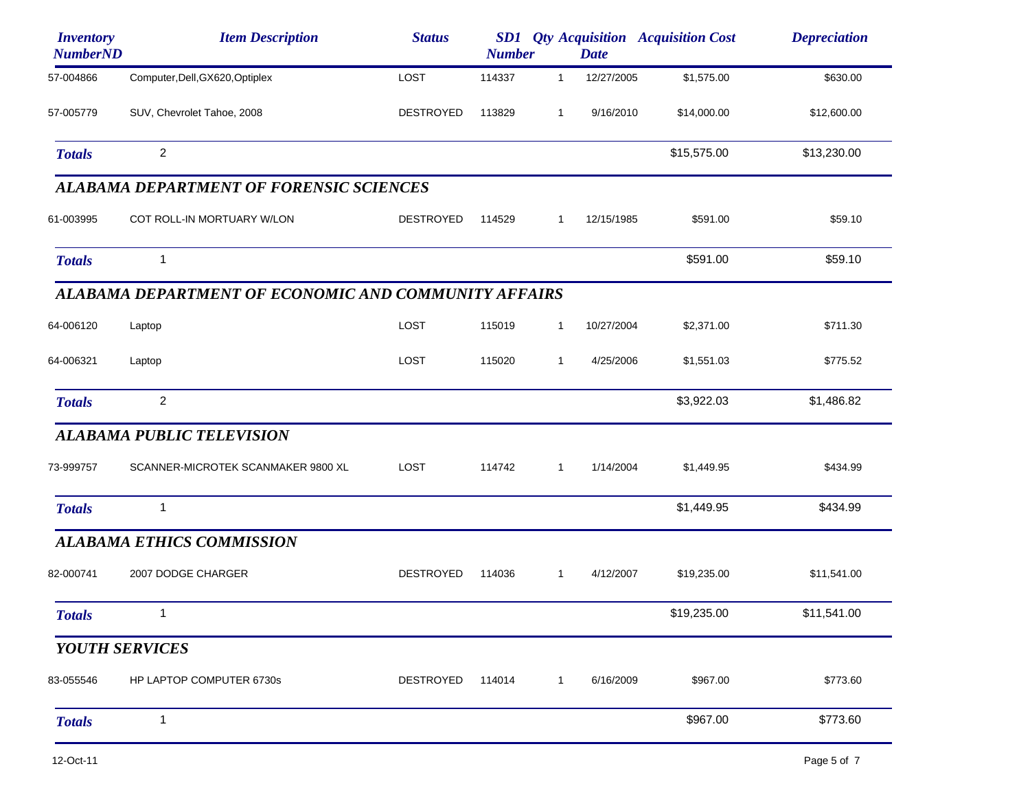| <b>Inventory</b><br><b>NumberND</b> | <b>Item Description</b>                              | <b>Status</b>    | <b>Number</b> |              | <b>Date</b> | <b>SD1</b> <i>Qty Acquisition Acquisition Cost</i> | <b>Depreciation</b> |
|-------------------------------------|------------------------------------------------------|------------------|---------------|--------------|-------------|----------------------------------------------------|---------------------|
| 57-004866                           | Computer, Dell, GX620, Optiplex                      | LOST             | 114337        | $\mathbf{1}$ | 12/27/2005  | \$1,575.00                                         | \$630.00            |
| 57-005779                           | SUV, Chevrolet Tahoe, 2008                           | <b>DESTROYED</b> | 113829        | $\mathbf{1}$ | 9/16/2010   | \$14,000.00                                        | \$12,600.00         |
| <b>Totals</b>                       | $\overline{2}$                                       |                  |               |              |             | \$15,575.00                                        | \$13,230.00         |
|                                     | <b>ALABAMA DEPARTMENT OF FORENSIC SCIENCES</b>       |                  |               |              |             |                                                    |                     |
| 61-003995                           | COT ROLL-IN MORTUARY W/LON                           | <b>DESTROYED</b> | 114529        | $\mathbf{1}$ | 12/15/1985  | \$591.00                                           | \$59.10             |
| <b>Totals</b>                       | 1                                                    |                  |               |              |             | \$591.00                                           | \$59.10             |
|                                     | ALABAMA DEPARTMENT OF ECONOMIC AND COMMUNITY AFFAIRS |                  |               |              |             |                                                    |                     |
| 64-006120                           | Laptop                                               | LOST             | 115019        | $\mathbf{1}$ | 10/27/2004  | \$2,371.00                                         | \$711.30            |
| 64-006321                           | Laptop                                               | LOST             | 115020        | $\mathbf{1}$ | 4/25/2006   | \$1,551.03                                         | \$775.52            |
| <b>Totals</b>                       | $\boldsymbol{2}$                                     |                  |               |              |             | \$3,922.03                                         | \$1,486.82          |
|                                     | <b>ALABAMA PUBLIC TELEVISION</b>                     |                  |               |              |             |                                                    |                     |
| 73-999757                           | SCANNER-MICROTEK SCANMAKER 9800 XL                   | LOST             | 114742        | $\mathbf{1}$ | 1/14/2004   | \$1,449.95                                         | \$434.99            |
| <b>Totals</b>                       | 1                                                    |                  |               |              |             | \$1,449.95                                         | \$434.99            |
|                                     | <b>ALABAMA ETHICS COMMISSION</b>                     |                  |               |              |             |                                                    |                     |
| 82-000741                           | 2007 DODGE CHARGER                                   | <b>DESTROYED</b> | 114036        | $\mathbf{1}$ | 4/12/2007   | \$19,235.00                                        | \$11,541.00         |
| <b>Totals</b>                       |                                                      |                  |               |              |             | \$19,235.00                                        | \$11,541.00         |
| <b>YOUTH SERVICES</b>               |                                                      |                  |               |              |             |                                                    |                     |
| 83-055546                           | HP LAPTOP COMPUTER 6730s                             | DESTROYED        | 114014        | $\mathbf{1}$ | 6/16/2009   | \$967.00                                           | \$773.60            |
| <b>Totals</b>                       | $\mathbf{1}$                                         |                  |               |              |             | \$967.00                                           | \$773.60            |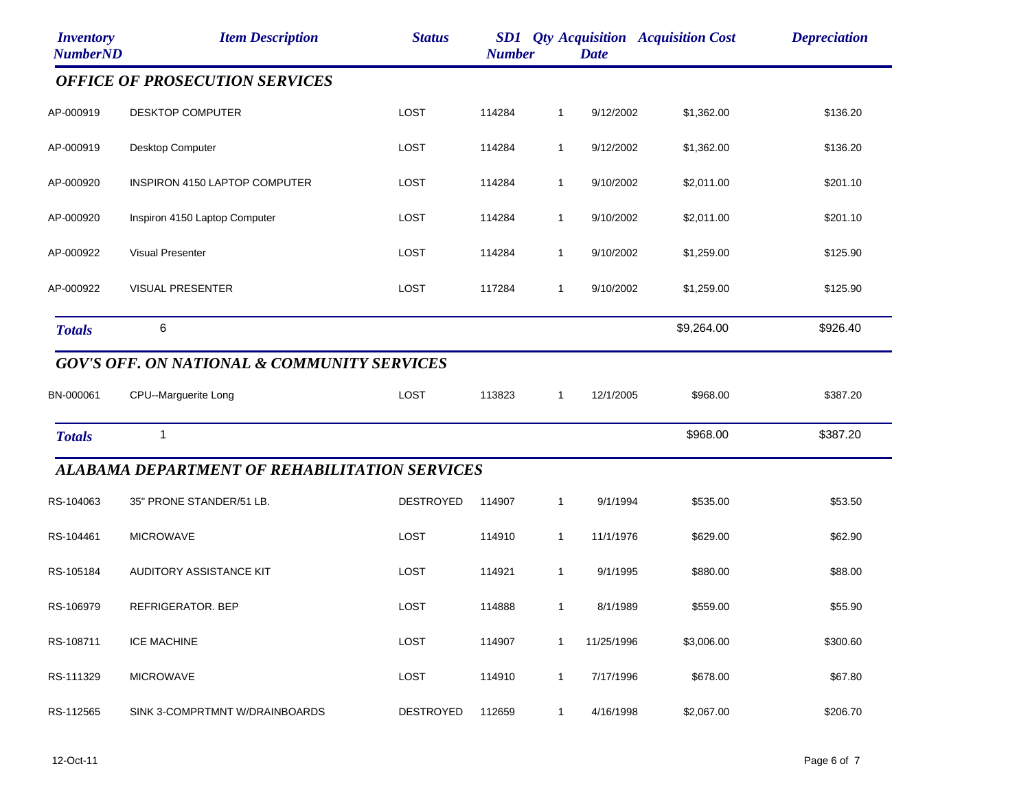| <b>Inventory</b><br><b>NumberND</b> | <b>Item Description</b>                                | <b>Status</b>    | <b>Number</b> |              | <b>Date</b> | <b>SD1</b> Qty Acquisition Acquisition Cost | <b>Depreciation</b> |
|-------------------------------------|--------------------------------------------------------|------------------|---------------|--------------|-------------|---------------------------------------------|---------------------|
|                                     | <b>OFFICE OF PROSECUTION SERVICES</b>                  |                  |               |              |             |                                             |                     |
| AP-000919                           | <b>DESKTOP COMPUTER</b>                                | LOST             | 114284        | $\mathbf 1$  | 9/12/2002   | \$1,362.00                                  | \$136.20            |
| AP-000919                           | Desktop Computer                                       | LOST             | 114284        | $\mathbf{1}$ | 9/12/2002   | \$1,362.00                                  | \$136.20            |
| AP-000920                           | INSPIRON 4150 LAPTOP COMPUTER                          | <b>LOST</b>      | 114284        | $\mathbf{1}$ | 9/10/2002   | \$2,011.00                                  | \$201.10            |
| AP-000920                           | Inspiron 4150 Laptop Computer                          | LOST             | 114284        | $\mathbf{1}$ | 9/10/2002   | \$2,011.00                                  | \$201.10            |
| AP-000922                           | <b>Visual Presenter</b>                                | LOST             | 114284        | $\mathbf{1}$ | 9/10/2002   | \$1,259.00                                  | \$125.90            |
| AP-000922                           | <b>VISUAL PRESENTER</b>                                | <b>LOST</b>      | 117284        | $\mathbf{1}$ | 9/10/2002   | \$1,259.00                                  | \$125.90            |
| <b>Totals</b>                       | 6                                                      |                  |               |              |             | \$9,264.00                                  | \$926.40            |
|                                     | <b>GOV'S OFF. ON NATIONAL &amp; COMMUNITY SERVICES</b> |                  |               |              |             |                                             |                     |
| BN-000061                           | CPU--Marguerite Long                                   | LOST             | 113823        | $\mathbf 1$  | 12/1/2005   | \$968.00                                    | \$387.20            |
| <b>Totals</b>                       | $\mathbf 1$                                            |                  |               |              |             | \$968.00                                    | \$387.20            |
|                                     | <b>ALABAMA DEPARTMENT OF REHABILITATION SERVICES</b>   |                  |               |              |             |                                             |                     |
| RS-104063                           | 35" PRONE STANDER/51 LB.                               | <b>DESTROYED</b> | 114907        | $\mathbf{1}$ | 9/1/1994    | \$535.00                                    | \$53.50             |
| RS-104461                           | <b>MICROWAVE</b>                                       | LOST             | 114910        | $\mathbf{1}$ | 11/1/1976   | \$629.00                                    | \$62.90             |
| RS-105184                           | AUDITORY ASSISTANCE KIT                                | LOST             | 114921        | $\mathbf{1}$ | 9/1/1995    | \$880.00                                    | \$88.00             |
| RS-106979                           | REFRIGERATOR. BEP                                      | LOST             | 114888        | $\mathbf{1}$ | 8/1/1989    | \$559.00                                    | \$55.90             |
| RS-108711                           | <b>ICE MACHINE</b>                                     | LOST             | 114907        | $\mathbf 1$  | 11/25/1996  | \$3,006.00                                  | \$300.60            |
| RS-111329                           | <b>MICROWAVE</b>                                       | LOST             | 114910        | $\mathbf{1}$ | 7/17/1996   | \$678.00                                    | \$67.80             |
| RS-112565                           | SINK 3-COMPRTMNT W/DRAINBOARDS                         | <b>DESTROYED</b> | 112659        | $\mathbf{1}$ | 4/16/1998   | \$2,067.00                                  | \$206.70            |